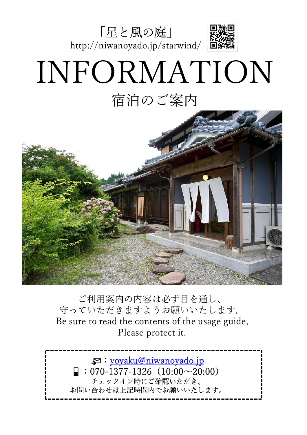

# INFORMATION 宿泊のご案内



ご利用案内の内容は必ず目を通し、 守っていただきますようお願いいたします。 Be sure to read the contents of the usage guide, Please protect it.

:yoyaku@niwanoyado.jp  $\Box$  : 070-1377-1326 (10:00 $\sim$ 20:00) チェックイン時にご確認いただき、 お問い合わせは上記時間内でお願いいたします。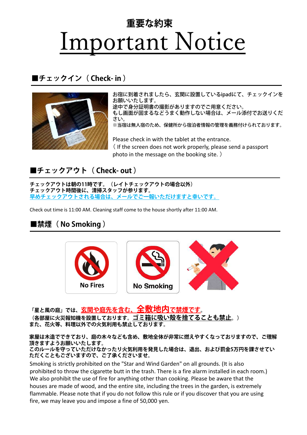## Important Notice **重要な約束**

#### **■チェックイン( Check- in )**



お宿に到着されましたら、玄関に設置しているipadにて、チェックインを お願いいたします。 途中で身分証明書の撮影がありますのでご用意ください。

もし画面が固まるなどうまく動作しない場合は、メール添付でお送りくだ さい。

※当宿は無人宿のため、保健所から宿泊者情報の管理を義務付けられております。

Please check in with the tablet at the entrance. ( If the screen does not work properly, please send a passport photo in the message on the booking site. )

#### **■チェックアウト( Check- out )**

**チェックアウトは朝の11時です。(レイトチェックアウトの場合以外) チェックアウト時間後に、清掃スタッフが参ります。 早めチェックアウトされる場合は、メールでご一報いただけますと幸いです。**

Check out time is 11:00 AM. Cleaning staff come to the house shortly after 11:00 AM.

#### **■禁煙( No Smoking )**



**「星と風の庭」では、玄関や庭先を含む、全敷地内で禁煙です。 (各部屋に火災報知機を設置しております。ゴミ箱に吸い殻を捨てることも禁止。) また、花火等、料理以外での火気利用も禁止しております。**

**家屋は木造でできており、庭の木々なども含め、敷地全体が非常に燃えやすくなっておりますので、ご理解 頂きますようお願いいたします。**

**このルールを守っていただけなかったり火気利用を発見した場合は、退出、および罰金5万円を課させてい ただくこともございますので、ご了承くださいませ。**

Smoking is strictly prohibited on the "Star and Wind Garden" on all grounds. (It is also prohibited to throw the cigarette butt in the trash. There is a fire alarm installed in each room.) We also prohibit the use of fire for anything other than cooking. Please be aware that the houses are made of wood, and the entire site, including the trees in the garden, is extremely flammable. Please note that if you do not follow this rule or if you discover that you are using fire, we may leave you and impose a fine of 50,000 yen.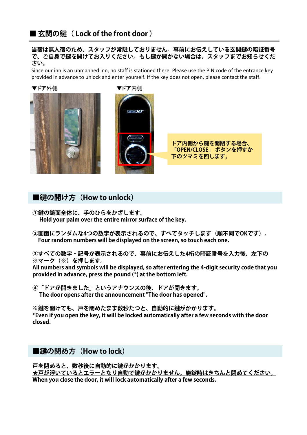#### ■ 玄関の鍵( Lock of the front door )

**当宿は無人宿のため、スタッフが常駐しておりません。事前にお伝えしている玄関鍵の暗証番号 で、ご⾃身で鍵を開けてお入りください。もし鍵が開かない場合は、スタッフまでお知らせくだ さい。**

Since our inn is an unmanned inn, no staff is stationed there. Please use the PIN code of the entrance key provided in advance to unlock and enter yourself. If the key does not open, please contact the staff.

▼ドア外側 ▼ドア内側





**ドア内側から鍵を開閉する場合、 「OPEN/CLOSE」 ボタンを押すか 下のツマミを回します。**

#### ■鍵の開け方 (How to unlock)

- **①鍵の鏡面全体に、手のひらをかざします。 Hold your palm over the entire mirror surface of the key.**
- **②画面にランダムな4つの数字が表示されるので、すべてタッチします(順不同でOKです)。 Four random numbers will be displayed on the screen, so touch each one.**

**③すべての数字・記号が表示されるので、事前にお伝えした4桁の暗証番号を入力後、左下の ※マーク(※)を押します。**

**All numbers and symbols will be displayed, so after entering the 4-digit security code that you provided in advance, press the pound (\*) at the bottom left.**

**④「ドアが開きました」というアナウンスの後、ドアが開きます。 The door opens after the announcement "The door has opened".**

**※鍵を開けても、⼾を閉めたまま数秒たつと、⾃動的に鍵がかかります。 \*Even if you open the key, it will be locked automatically after a few seconds with the door closed.**

#### ■鍵の閉め方(How to lock)

**⼾を閉めると、数秒後に⾃動的に鍵がかかります。 ★⼾が浮いているとエラーとなり⾃動で鍵がかかりません。施錠時はきちんと閉めてください。 When you close the door, it will lock automatically after a few seconds.**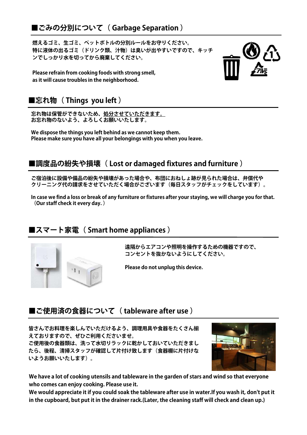**燃えるゴミ、生ゴミ、ペットボトルの分別ルールをお守りください。 特に液体の出るゴミ(ドリンク類、汁物)は臭いが出やすいですので、キッチ ンでしっかり水を切ってから廃棄してください。**

**Please refrain from cooking foods with strong smell, as it will cause troubles in the neighborhood.**

#### ■忘れ物( Things you left )

**忘れ物は保管ができないため、処分させていただきます。 お忘れ物のないよう、よろしくお願いいたします。**

**We dispose the things you left behind as we cannot keep them. Please make sure you have all your belongings with you when you leave.**

#### ■調度品の紛失や損壊( Lost or damaged fixtures and furniture )

**ご宿泊後に設備や備品の紛失や損壊があった場合や、布団におねしょ跡が見られた場合は、弁償代や クリーニング代の請求をさせていただく場合がございます(毎日スタッフがチェックをしています)。**

**In case we find a loss or break of any furniture or fixtures after your staying, we will charge you for that. (Our staff check it every day. )**

#### **■スマート家電( Smart home appliances )**



**遠隔からエアコンや照明を操作するための機器ですので、 コンセントを抜かないようにしてください。**

**Please do not unplug this device.**

#### ■ご使用済の食器について ( tableware after use )

**皆さんでお料理を楽しんでいただけるよう、調理用具や食器をたくさん揃 えておりますので、ぜひご利用くださいませ。 ご使用後の食器類は、洗って水切りラックに乾かしておいていただきまし たら、後程、清掃スタッフが確認して片付け致します(食器棚に片付けな**

**いようお願いいたします)。**



**We have a lot of cooking utensils and tableware in the garden of stars and wind so that everyone who comes can enjoy cooking. Please use it.**

**We would appreciate it if you could soak the tableware after use in water.If you wash it, don't put it in the cupboard, but put it in the drainer rack.(Later, the cleaning staff will check and clean up.)**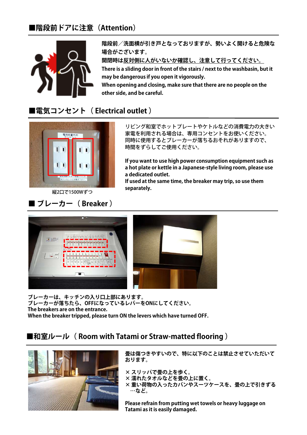#### **■階段前ドアに注意(Attention)**



**階段前/洗面横が引き⼾となっておりますが、勢いよく開けると危険な 場合がございます。**

**開閉時は反対側に人がいないか確認し、注意して行ってください。 There is a sliding door in front of the stairs / next to the washbasin, but it may be dangerous if you open it vigorously.**

**When opening and closing, make sure that there are no people on the other side, and be careful.**

#### **■電気コンセント( Electrical outlet )**



**attack and the separately.**<br>縦2口で1500Wずつ

#### **■ ブレーカー( Breaker )**

リビング和室でホットプレートやケトルなどの消費電力の大きい 家電を利用される場合は、専用コンセントをお使いください。 同時に使用するとブレーカーが落ちるおそれがありますので、 時間をずらしてご使用ください。

**If you want to use high power consumption equipment such as a hot plate or kettle in a Japanese-style living room, please use a dedicated outlet.**

**If used at the same time, the breaker may trip, so use them** 



**ブレーカーは、キッチンの入り口上部にあります。 ブレーカーが落ちたら、OFFになっているレバーをONにしてください。 The breakers are on the entrance. When the breaker tripped, please turn ON the levers which have turned OFF.**

#### **■和室ルール( Room with Tatami or Straw-matted flooring )**



**畳は傷つきやすいので、特に以下のことは禁止させていただいて おります。**

**× スリッパで畳の上を歩く。**

**× 濡れたタオルなどを畳の上に置く。**

**× 重い荷物の入ったカバンやスーツケースを、畳の上で引きずる …など。**

**Please refrain from putting wet towels or heavy luggage on Tatami as it is easily damaged.**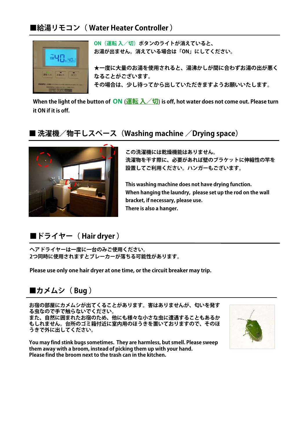#### **■給湯リモコン( Water Heater Controller )**



**ON(運転 入/切)ボタンのライトが消えていると、 お湯が出ません。消えている場合は「ON」にしてください。**

**★一度に大量のお湯を使用されると、湯沸かしが間に合わずお湯の出が悪く なることがございます。 その場合は、少し待ってから出していただきますようお願いいたします。**

**When the light of the button of ON** (**運転 入/切**) **is off, hot water does not come out. Please turn it ON if it is off.**

#### **■ 洗濯機/物干しスペース(Washing machine /Drying space)**



**この洗濯機には乾燥機能はありません。 洗濯物を干す際に、必要があれば壁のブラケットに伸縮性の竿を 設置してご利用ください。ハンガーもございます。**

**This washing machine does not have drying function. When hanging the laundry, please set up the rod on the wall bracket, if necessary, please use. There is also a hanger.**

#### **■ドライヤー( Hair dryer )**

**ヘアドライヤーは一度に一台のみご使用ください。 2つ同時に使用されますとブレーカーが落ちる可能性があります。**

**Please use only one hair dryer at one time, or the circuit breaker may trip.**

■カメムシ ( Bug )

**お宿の部屋にカメムシが出てくることがあります。害はありませんが、匂いを発す る虫なので手で触らないでください。**

**また、⾃然に囲まれたお宿のため、他にも様々な小さな虫に遭遇することもあるか もしれません。台所のゴミ箱付近に室内用のほうきを置いておりますので、そのほ うきで外に出してください。**

**You may find stink bugs sometimes. They are harmless, but smell. Please sweep them away with a broom, instead of picking them up with your hand. Please find the broom next to the trash can in the kitchen.**

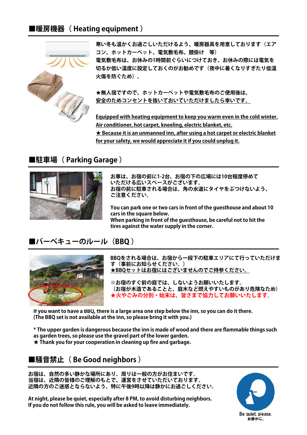#### ■暖房機器( Heating equipment )



**寒い冬も温かくお過ごしいただけるよう、暖房器具を用意しております(エア コン、ホットカーペット、電気敷毛布、膝掛け 等) 電気敷毛布は、お休みの1時間前ぐらいにつけておき、お休みの際には電気を 切るか低い温度に設定しておくのがお勧めです(夜中に暑くなりすぎたり低温 火傷を防ぐため)。**

**★無人宿ですので、ホットカーペットや電気敷毛布のご使用後は、 安全のためコンセントを抜いておいていただけましたら幸いです。**

**Equipped with heating equipment to keep you warm even in the cold winter. Air conditioner, hot carpet, kneeling, electric blanket, etc. ★ Because it is an unmanned inn, after using a hot carpet or electric blanket for your safety, we would appreciate it if you could unplug it.**

#### **■駐車場( Parking Garage )**



**お車は、お宿の前に1-2台、お宿の下の広場には10台程度停めて いただける広いスペースがございます。 お宿の前に駐車される場合は、角の水道にタイヤをぶつけないよう、 ご注意ください。**

**You can park one or two cars in front of the guesthouse and about 10 cars in the square below. When parking in front of the guesthouse, be careful not to hit the tires against the water supply in the corner.**

#### **■バーベキューのルール(BBQ )**



**BBQをされる場合は、お宿から一段下の駐車エリアにて行っていただけま す(事前にお知らせください。) ★BBQセットはお宿にはございませんのでご持参ください。**

**※お宿のすぐ前の庭では、しないようお願いいたします。 (お宿が木造であることと、庭木など燃えやすいものがあり危険なため) ★火やごみの分別・始末は、皆さまで協力してお願いいたします。**

**If you want to have a BBQ, there is a large area one step below the inn, so you can do it there. (The BBQ set is not available at the inn, so please bring it with you.)**

**\* The upper garden is dangerous because the inn is made of wood and there are flammable things such as garden trees, so please use the gravel part of the lower garden. ★ Thank you for your cooperation in cleaning up fire and garbage.**

#### **■騒音禁止( Be Good neighbors )**

**お宿は、⾃然の多い静かな場所にあり、周りは一般の方がお住まいです。 当宿は、近隣の皆様のご理解のもとで、運営をさせていただいております。 近隣の方のご迷惑とならないよう、特に午後9時以降は静かにお過ごしください。**

**At night, please be quiet, especially after 8 PM, to avoid disturbing neighbors. If you do not follow this rule, you will be asked to leave immediately.**

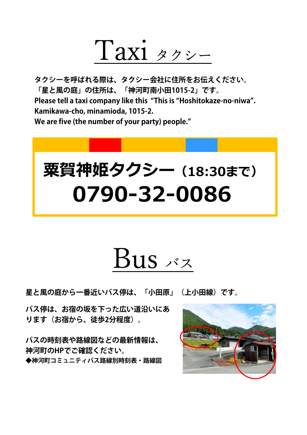

**タクシーを呼ばれる際は、タクシー会社に住所をお伝えください。 「星と風の庭」の住所は、「神河町南小田1015-2」です。 Please tell a taxi company like this "This is "Hoshitokaze-no-niwa". Kamikawa-cho, minamioda, 1015-2. We are five (the number of your party) people."**



# $Bus <sub>x</sub>$

**星と風の庭から一番近いバス停は、「小田原」(上小田線)です。**

**バス停は、お宿の坂を下った広い道沿いにあ ります(お宿から、徒歩2分程度)。**

**バスの時刻表や路線図などの最新情報は、 神河町のHPでご確認ください。 ◆神河町コミュニティバス路線別時刻表・路線図** 

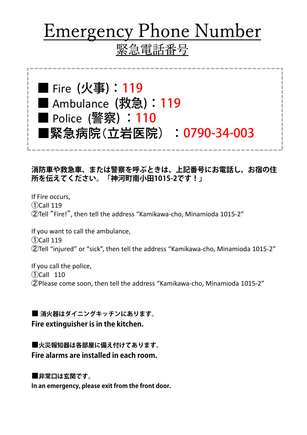## Emergency Phone Number 緊急電話番号

■ Fire (火事): 119 ■ Ambulance (救急): 119 ■ Police (警察) **: 110** ■緊急病院(立岩医院):0790-34-003

#### **消防車や救急車、または警察を呼ぶときは、上記番号にお電話し、お宿の住 所を伝えてください。「神河町南小田1015-2です!」**

If Fire occurs, ①Call 119 ②Tell "Fire!", then tell the address "Kamikawa-cho, Minamioda 1015-2"

If you want to call the ambulance, ①Call 119 ②Tell "injured" or "sick", then tell the address "Kamikawa-cho, Minamioda 1015-2"

If you call the police, ①Call 110 ②Please come soon, then tell the address "Kamikawa-cho, Minamioda 1015-2"

**■ 消火器はダイニングキッチンにあります。 Fire extinguisher is in the kitchen.**

**■火災報知器は各部屋に備え付けてあります。 Fire alarms are installed in each room.**

**■非常口は玄関です。**

**In an emergency, please exit from the front door.**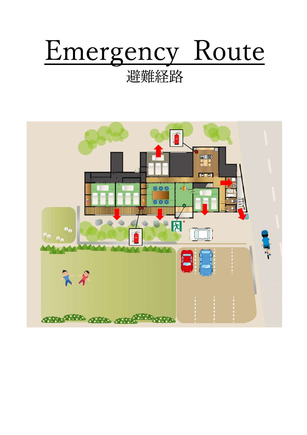# Emergency Route

### 避難経路

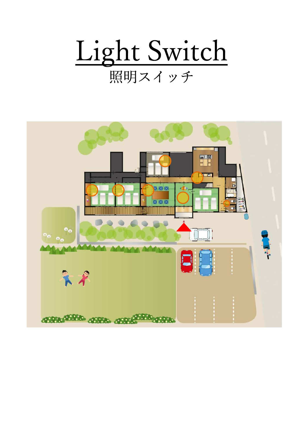

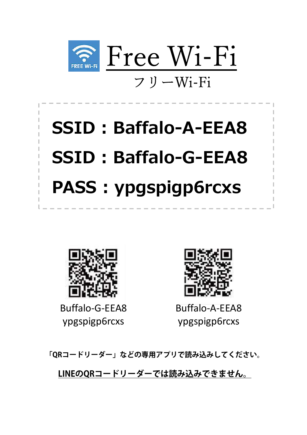

# **SSID : Baffalo-A-EEA8 SSID : Baffalo-G-EEA8 PASS : ypgspigp6rcxs**



Buffalo-G-EEA8 ypgspigp6rcxs



Buffalo-A-EEA8 ypgspigp6rcxs

**「QRコードリーダー」などの専用アプリで読み込みしてください。**

**LINEのQRコードリーダーでは読み込みできません。**